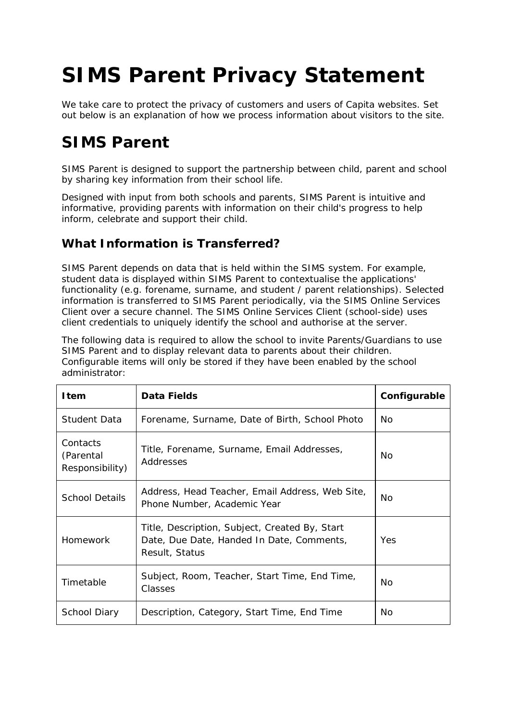# **SIMS Parent Privacy Statement**

We take care to protect the privacy of customers and users of Capita websites. Set out below is an explanation of how we process information about visitors to the site.

# **SIMS Parent**

SIMS Parent is designed to support the partnership between child, parent and school by sharing key information from their school life.

Designed with input from both schools and parents, SIMS Parent is intuitive and informative, providing parents with information on their child's progress to help inform, celebrate and support their child.

#### **What Information is Transferred?**

SIMS Parent depends on data that is held within the SIMS system. For example, student data is displayed within SIMS Parent to contextualise the applications' functionality (e.g. forename, surname, and student / parent relationships). Selected information is transferred to SIMS Parent periodically, via the SIMS Online Services Client over a secure channel. The SIMS Online Services Client (school-side) uses client credentials to uniquely identify the school and authorise at the server.

The following data is required to allow the school to invite Parents/Guardians to use SIMS Parent and to display relevant data to parents about their children. Configurable items will only be stored if they have been enabled by the school administrator:

| <b>I</b> tem                             | Data Fields                                                                                                   | Configurable |
|------------------------------------------|---------------------------------------------------------------------------------------------------------------|--------------|
| Student Data                             | Forename, Surname, Date of Birth, School Photo                                                                | No.          |
| Contacts<br>(Parental<br>Responsibility) | Title, Forename, Surname, Email Addresses,<br>Addresses                                                       | No           |
| <b>School Details</b>                    | Address, Head Teacher, Email Address, Web Site,<br>Phone Number, Academic Year                                | No.          |
| Homework                                 | Title, Description, Subject, Created By, Start<br>Date, Due Date, Handed In Date, Comments,<br>Result, Status | Yes          |
| Timetable                                | Subject, Room, Teacher, Start Time, End Time,<br>Classes                                                      | <b>No</b>    |
| School Diary                             | Description, Category, Start Time, End Time                                                                   | No           |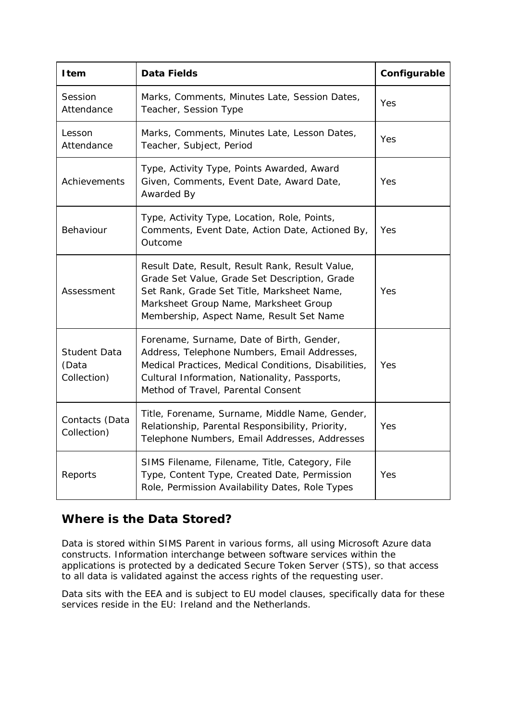| <b>I</b> tem                                | <b>Data Fields</b>                                                                                                                                                                                                                       | Configurable |
|---------------------------------------------|------------------------------------------------------------------------------------------------------------------------------------------------------------------------------------------------------------------------------------------|--------------|
| Session<br>Attendance                       | Marks, Comments, Minutes Late, Session Dates,<br>Teacher, Session Type                                                                                                                                                                   | Yes          |
| Lesson<br>Attendance                        | Marks, Comments, Minutes Late, Lesson Dates,<br>Teacher, Subject, Period                                                                                                                                                                 | Yes          |
| Achievements                                | Type, Activity Type, Points Awarded, Award<br>Given, Comments, Event Date, Award Date,<br>Awarded By                                                                                                                                     | Yes          |
| Behaviour                                   | Type, Activity Type, Location, Role, Points,<br>Comments, Event Date, Action Date, Actioned By,<br>Outcome                                                                                                                               | Yes          |
| Assessment                                  | Result Date, Result, Result Rank, Result Value,<br>Grade Set Value, Grade Set Description, Grade<br>Set Rank, Grade Set Title, Marksheet Name,<br>Marksheet Group Name, Marksheet Group<br>Membership, Aspect Name, Result Set Name      | Yes          |
| <b>Student Data</b><br>(Data<br>Collection) | Forename, Surname, Date of Birth, Gender,<br>Address, Telephone Numbers, Email Addresses,<br>Medical Practices, Medical Conditions, Disabilities,<br>Cultural Information, Nationality, Passports,<br>Method of Travel, Parental Consent | Yes          |
| Contacts (Data<br>Collection)               | Title, Forename, Surname, Middle Name, Gender,<br>Relationship, Parental Responsibility, Priority,<br>Telephone Numbers, Email Addresses, Addresses                                                                                      | Yes          |
| Reports                                     | SIMS Filename, Filename, Title, Category, File<br>Type, Content Type, Created Date, Permission<br>Role, Permission Availability Dates, Role Types                                                                                        | Yes          |

#### **Where is the Data Stored?**

Data is stored within SIMS Parent in various forms, all using Microsoft Azure data constructs. Information interchange between software services within the applications is protected by a dedicated Secure Token Server (STS), so that access to all data is validated against the access rights of the requesting user.

Data sits with the EEA and is subject to EU model clauses, specifically data for these services reside in the EU: Ireland and the Netherlands.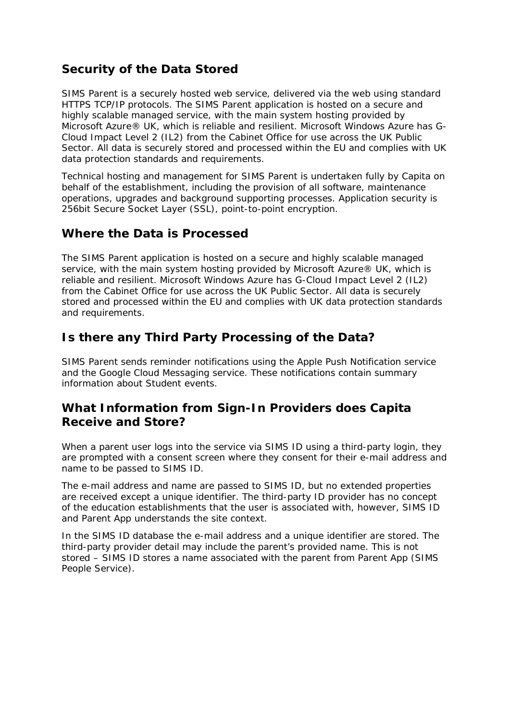### **Security of the Data Stored**

SIMS Parent is a securely hosted web service, delivered via the web using standard HTTPS TCP/IP protocols. The SIMS Parent application is hosted on a secure and highly scalable managed service, with the main system hosting provided by Microsoft Azure® UK, which is reliable and resilient. Microsoft Windows Azure has G-Cloud Impact Level 2 (IL2) from the Cabinet Office for use across the UK Public Sector. All data is securely stored and processed within the EU and complies with UK data protection standards and requirements.

Technical hosting and management for SIMS Parent is undertaken fully by Capita on behalf of the establishment, including the provision of all software, maintenance operations, upgrades and background supporting processes. Application security is 256bit Secure Socket Layer (SSL), point-to-point encryption.

#### **Where the Data is Processed**

The SIMS Parent application is hosted on a secure and highly scalable managed service, with the main system hosting provided by Microsoft Azure® UK, which is reliable and resilient. Microsoft Windows Azure has G-Cloud Impact Level 2 (IL2) from the Cabinet Office for use across the UK Public Sector. All data is securely stored and processed within the EU and complies with UK data protection standards and requirements.

#### **Is there any Third Party Processing of the Data?**

SIMS Parent sends reminder notifications using the Apple Push Notification service and the Google Cloud Messaging service. These notifications contain summary information about Student events.

#### **What Information from Sign-In Providers does Capita Receive and Store?**

When a parent user logs into the service via SIMS ID using a third-party login, they are prompted with a consent screen where they consent for their e-mail address and name to be passed to SIMS ID.

The e-mail address and name are passed to SIMS ID, but no extended properties are received except a unique identifier. The third-party ID provider has no concept of the education establishments that the user is associated with, however, SIMS ID and Parent App understands the site context.

In the SIMS ID database the e-mail address and a unique identifier are stored. The third-party provider detail may include the parent's provided name. This is not stored – SIMS ID stores a name associated with the parent from Parent App (SIMS People Service).